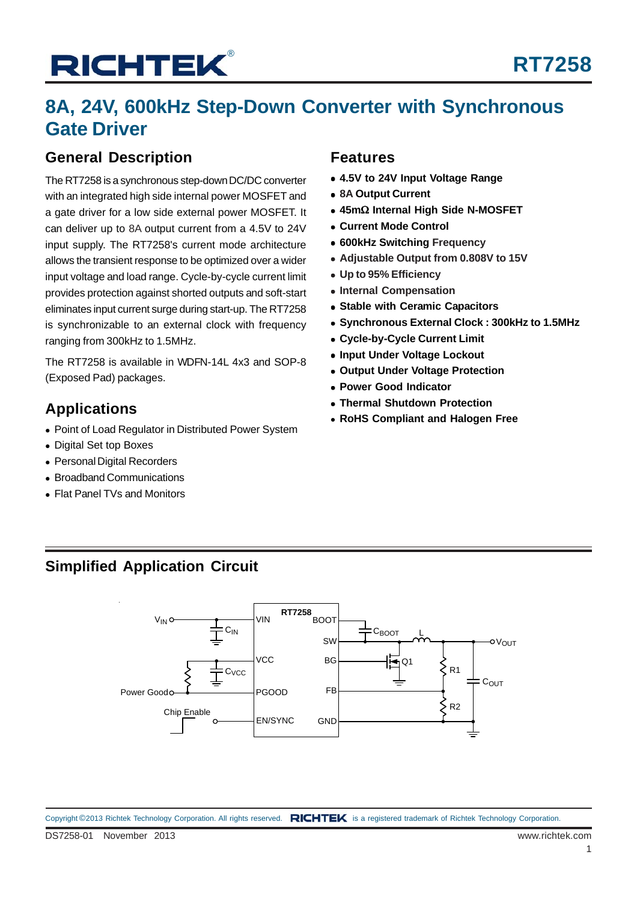## **8A, 24V, 600kHz Step-Down Converter with Synchronous Gate Driver**

### **General Description**

The RT7258 is a synchronous step-down DC/DC converter with an integrated high side internal power MOSFET and a gate driver for a low side external power MOSFET. It can deliver up to 8A output current from a 4.5V to 24V input supply. The RT7258's current mode architecture allows the transient response to be optimized over a wider input voltage and load range. Cycle-by-cycle current limit provides protection against shorted outputs and soft-start eliminates input current surge during start-up. The RT7258 is synchronizable to an external clock with frequency ranging from 300kHz to 1.5MHz.

The RT7258 is available in WDFN-14L 4x3 and SOP-8 (Exposed Pad) packages.

- Point of Load Regulator in Distributed Power System
- Digital Set top Boxes
- Personal Digital Recorders
- Broadband Communications
- Flat Panel TVs and Monitors

### **Features**

- **4.5V to 24V Input Voltage Range**
- **8A Output Current**
- **45m**Ω **Internal High Side N-MOSFET**
- **Current Mode Control**
- **600kHz Switching Frequency**
- **Adjustable Output from 0.808V to 15V**
- **Up to 95% Efficiency**
- **Internal Compensation**
- **Stable with Ceramic Capacitors**
- **Synchronous External Clock : 300kHz to 1.5MHz**
- **Cycle-by-Cycle Current Limit**
- **Input Under Voltage Lockout**
- **Output Under Voltage Protection**
- **Power Good Indicator**
- **Thermal Shutdown Protection**
- Applications<br>**Applications**<br>**RoHS Compliant and Halogen Free**

### **Simplified Application Circuit**

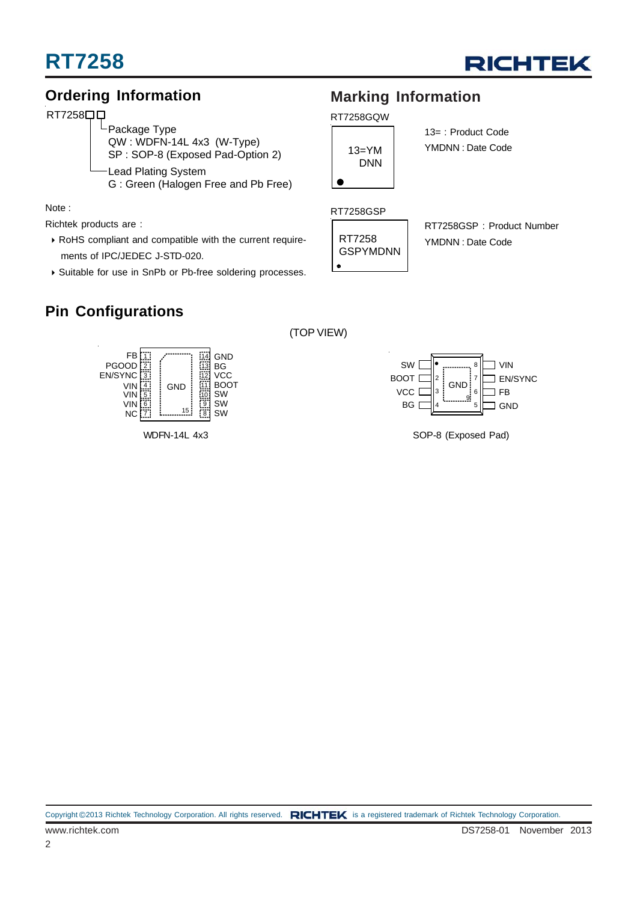



### **Ordering Information**

### RT7258**00**

-Package Type QW : WDFN-14L 4x3 (W-Type) SP : SOP-8 (Exposed Pad-Option 2) Lead Plating System G : Green (Halogen Free and Pb Free)

Note :

Richtek products are :

- RoHS compliant and compatible with the current require ments of IPC/JEDEC J-STD-020.
- Suitable for use in SnPb or Pb-free soldering processes.

### **Pin Configurations**



WDFN-14L 4x3

### **Marking Information**

#### RT7258GQW



13= : Product Code YMDNN : Date Code

#### RT7258GSP



(TOP VIEW)

RT7258GSP : Product Number YMDNN : Date Code



SOP-8 (Exposed Pad)

Copyright ©2013 Richtek Technology Corporation. All rights reserved. RICHTEK is a registered trademark of Richtek Technology Corporation.

2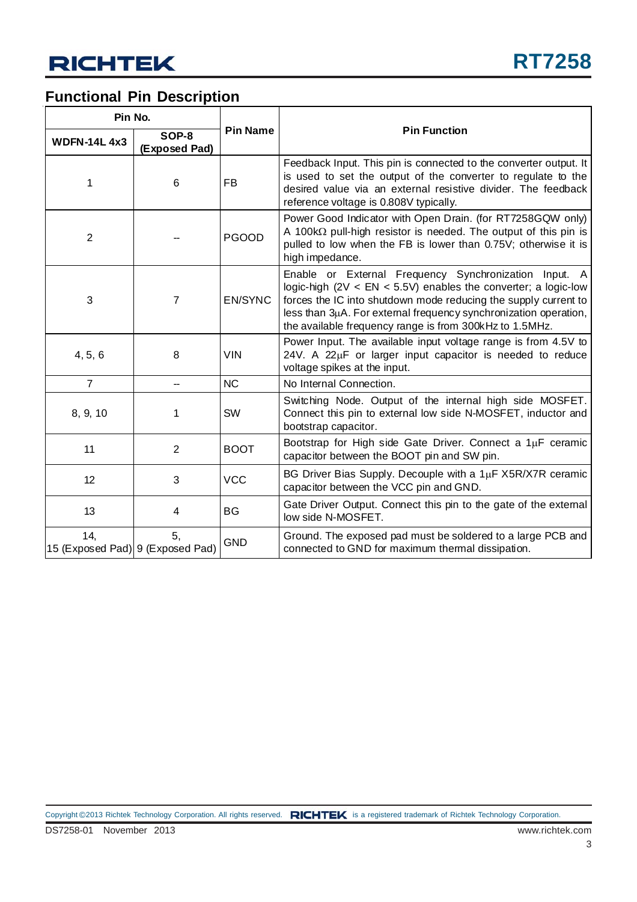### **Functional Pin Description**

| Pin No.                                 |                        |                 |                                                                                                                                                                                                                                                                                                                             |
|-----------------------------------------|------------------------|-----------------|-----------------------------------------------------------------------------------------------------------------------------------------------------------------------------------------------------------------------------------------------------------------------------------------------------------------------------|
| <b>WDFN-14L4x3</b>                      | SOP-8<br>(Exposed Pad) | <b>Pin Name</b> | <b>Pin Function</b>                                                                                                                                                                                                                                                                                                         |
| 1                                       | 6                      | FB              | Feedback Input. This pin is connected to the converter output. It<br>is used to set the output of the converter to regulate to the<br>desired value via an external resistive divider. The feedback<br>reference voltage is 0.808V typically.                                                                               |
| $\overline{2}$                          |                        | <b>PGOOD</b>    | Power Good Indicator with Open Drain. (for RT7258GQW only)<br>A 100 $k\Omega$ pull-high resistor is needed. The output of this pin is<br>pulled to low when the FB is lower than 0.75V; otherwise it is<br>high impedance.                                                                                                  |
| 3                                       | $\overline{7}$         | <b>EN/SYNC</b>  | Enable or External Frequency Synchronization Input. A<br>logic-high $(2V < EN < 5.5V)$ enables the converter; a logic-low<br>forces the IC into shutdown mode reducing the supply current to<br>less than 3µA. For external frequency synchronization operation,<br>the available frequency range is from 300kHz to 1.5MHz. |
| 4, 5, 6                                 | 8                      | <b>VIN</b>      | Power Input. The available input voltage range is from 4.5V to<br>24V. A 22µF or larger input capacitor is needed to reduce<br>voltage spikes at the input.                                                                                                                                                                 |
| $\overline{7}$                          |                        | <b>NC</b>       | No Internal Connection.                                                                                                                                                                                                                                                                                                     |
| 8, 9, 10                                | 1                      | <b>SW</b>       | Switching Node. Output of the internal high side MOSFET.<br>Connect this pin to external low side N-MOSFET, inductor and<br>bootstrap capacitor.                                                                                                                                                                            |
| 11                                      | $\overline{2}$         | <b>BOOT</b>     | Bootstrap for High side Gate Driver. Connect a 1µF ceramic<br>capacitor between the BOOT pin and SW pin.                                                                                                                                                                                                                    |
| 12                                      | 3                      | <b>VCC</b>      | BG Driver Bias Supply. Decouple with a $1\mu$ F X5R/X7R ceramic<br>capacitor between the VCC pin and GND.                                                                                                                                                                                                                   |
| 13                                      | 4                      | <b>BG</b>       | Gate Driver Output. Connect this pin to the gate of the external<br>low side N-MOSFET.                                                                                                                                                                                                                                      |
| 14,<br>15 (Exposed Pad) 9 (Exposed Pad) | 5,                     | <b>GND</b>      | Ground. The exposed pad must be soldered to a large PCB and<br>connected to GND for maximum thermal dissipation.                                                                                                                                                                                                            |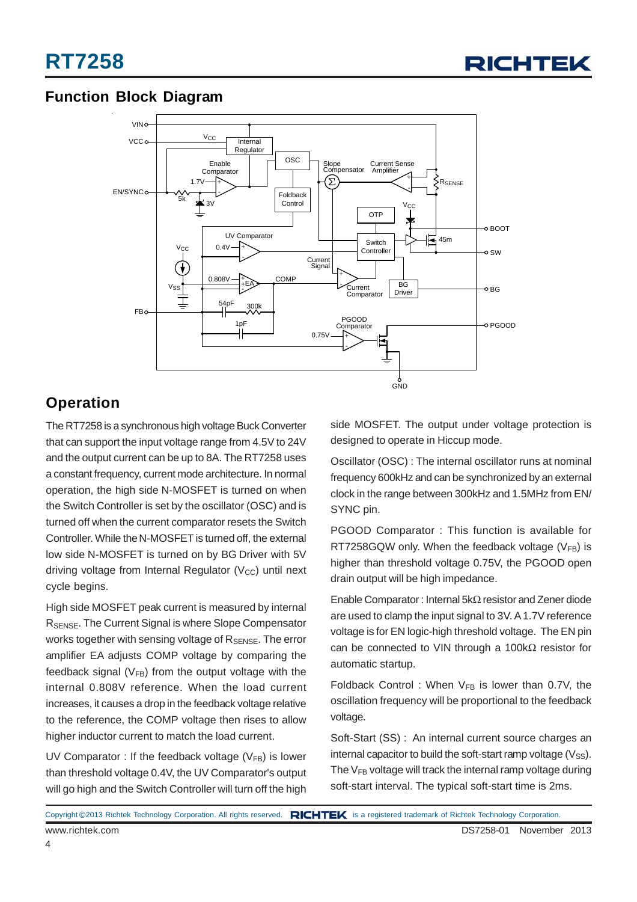

### **Function Block Diagram**



### **Operation**

The RT7258 is a synchronous high voltage Buck Converter that can support the input voltage range from 4.5V to 24V and the output current can be up to 8A. The RT7258 uses a constant frequency, current mode architecture. In normal operation, the high side N-MOSFET is turned on when the Switch Controller is set by the oscillator (OSC) and is turned off when the current comparator resets the Switch Controller. While the N-MOSFET is turned off, the external low side N-MOSFET is turned on by BG Driver with 5V driving voltage from Internal Regulator  $(V_{CC})$  until next cycle begins.

High side MOSFET peak current is measured by internal RSENSE. The Current Signal is where Slope Compensator works together with sensing voltage of R<sub>SENSE</sub>. The error amplifier EA adjusts COMP voltage by comparing the feedback signal ( $V_{FB}$ ) from the output voltage with the internal 0.808V reference. When the load current increases, it causes a drop in the feedback voltage relative to the reference, the COMP voltage then rises to allow higher inductor current to match the load current.

UV Comparator : If the feedback voltage  $(V_{FB})$  is lower than threshold voltage 0.4V, the UV Comparator's output will go high and the Switch Controller will turn off the high

side MOSFET. The output under voltage protection is designed to operate in Hiccup mode.

Oscillator (OSC) : The internal oscillator runs at nominal frequency 600kHz and can be synchronized by an external clock in the range between 300kHz and 1.5MHz from EN/ SYNC pin.

PGOOD Comparator : This function is available for RT7258GQW only. When the feedback voltage  $(V_{FR})$  is higher than threshold voltage 0.75V, the PGOOD open drain output will be high impedance.

Enable Comparator : Internal 5kΩ resistor and Zener diode are used to clamp the input signal to 3V. A 1.7V reference voltage is for EN logic-high threshold voltage. The EN pin can be connected to VIN through a 100kΩ resistor for automatic startup.

Foldback Control : When  $V_{FB}$  is lower than 0.7V, the oscillation frequency will be proportional to the feedback voltage.

Soft-Start (SS) : An internal current source charges an internal capacitor to build the soft-start ramp voltage  $(V_{SS})$ . The  $V_{FB}$  voltage will track the internal ramp voltage during soft-start interval. The typical soft-start time is 2ms.

|                 | Copyright ©2013 Richtek Technology Corporation. All rights reserved. RICHTEK is a registered trademark of Richtek Technology Corporation. |  |
|-----------------|-------------------------------------------------------------------------------------------------------------------------------------------|--|
| www.richtek.com | DS7258-01 November 2013                                                                                                                   |  |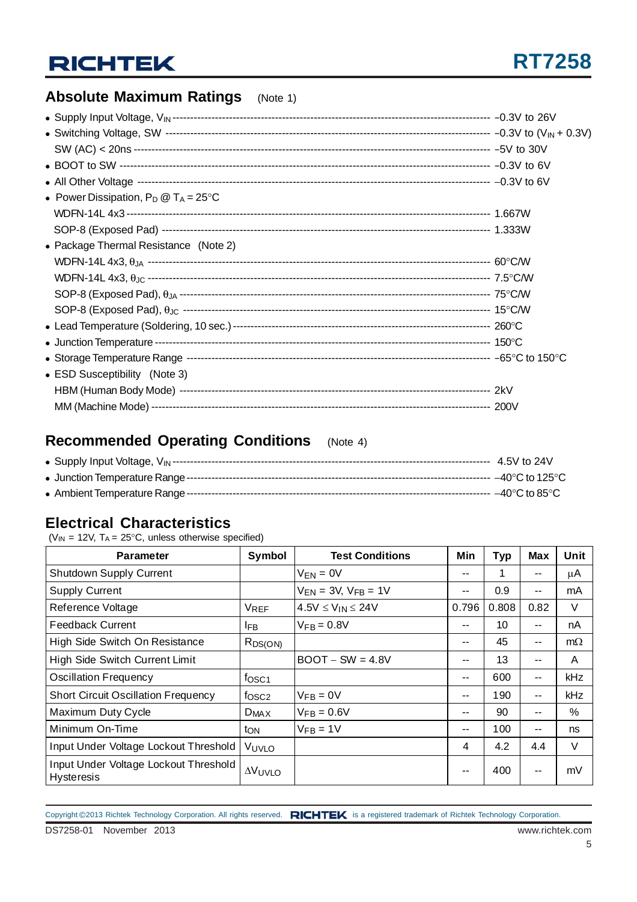### **Absolute Maximum Ratings** (Note 1)

| • Power Dissipation, $P_D @ T_A = 25^{\circ}C$ |  |
|------------------------------------------------|--|
|                                                |  |
|                                                |  |
| • Package Thermal Resistance (Note 2)          |  |
|                                                |  |
|                                                |  |
|                                                |  |
|                                                |  |
|                                                |  |
|                                                |  |
|                                                |  |
| • ESD Susceptibility (Note 3)                  |  |
|                                                |  |
|                                                |  |

### **Recommended Operating Conditions** (Note 4)

### **Electrical Characteristics**

( $V_{IN}$  = 12V,  $T_A$  = 25°C, unless otherwise specified)

| <b>Parameter</b>                                    | Symbol            | <b>Test Conditions</b>       | Min   | <b>Typ</b> | <b>Max</b> | Unit      |
|-----------------------------------------------------|-------------------|------------------------------|-------|------------|------------|-----------|
| Shutdown Supply Current                             |                   | $V_{EN} = 0V$                | --    | 1          | --         | $\mu$ A   |
| <b>Supply Current</b>                               |                   | $V_{EN}$ = 3V, $V_{FB}$ = 1V | --    | 0.9        | --         | mA        |
| Reference Voltage                                   | <b>VREF</b>       | $4.5V \leq V_{IN} \leq 24V$  | 0.796 | 0.808      | 0.82       | $\vee$    |
| <b>Feedback Current</b>                             | <b>IFB</b>        | $V_{FB} = 0.8V$              | --    | 10         |            | nA        |
| High Side Switch On Resistance                      | $R_{DS(ON)}$      |                              | --    | 45         | --         | $m\Omega$ |
| High Side Switch Current Limit                      |                   | $BOOT - SW = 4.8V$           | --    | 13         | --         | A         |
| <b>Oscillation Frequency</b>                        | fosc <sub>1</sub> |                              | --    | 600        | --         | kHz       |
| <b>Short Circuit Oscillation Frequency</b>          | f <sub>OSC2</sub> | $V_{FB} = 0V$                | --    | 190        | $- -$      | kHz       |
| Maximum Duty Cycle                                  | $D_{MAX}$         | $V_{FB} = 0.6V$              | --    | 90         | --         | $\%$      |
| Minimum On-Time                                     | ton               | $V_{FB} = 1V$                | $- -$ | 100        | --         | ns        |
| Input Under Voltage Lockout Threshold               | VUVLO             |                              | 4     | 4.2        | 4.4        | $\vee$    |
| Input Under Voltage Lockout Threshold<br>Hysteresis | $\Delta V$ UVLO   |                              | $- -$ | 400        | --         | mV        |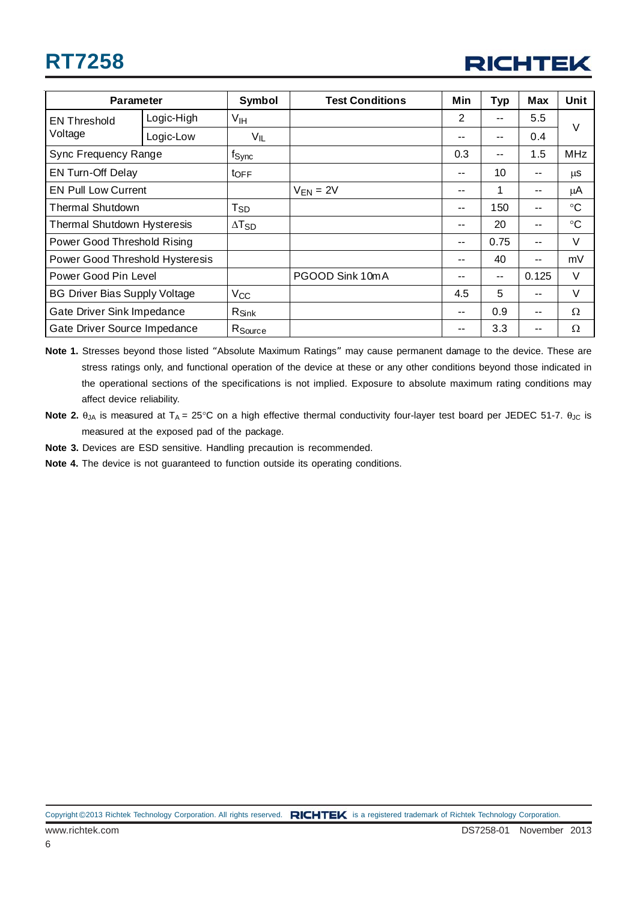## **RT7258**



| <b>Parameter</b>                     |            | <b>Symbol</b>       | <b>Test Conditions</b> | Min | <b>Typ</b> | Max   | Unit            |
|--------------------------------------|------------|---------------------|------------------------|-----|------------|-------|-----------------|
| <b>EN Threshold</b>                  | Logic-High | V <sub>IH</sub>     |                        | 2   | --         | 5.5   | $\vee$          |
| Voltage                              | Logic-Low  | $V_{IL}$            |                        | --  | --         | 0.4   |                 |
| Sync Frequency Range                 |            | f <sub>Sync</sub>   |                        | 0.3 |            | 1.5   | <b>MHz</b>      |
| <b>EN Turn-Off Delay</b>             |            | t <sub>OFF</sub>    |                        | --  | 10         | --    | μS              |
| <b>EN Pull Low Current</b>           |            |                     | $V_{EN} = 2V$          | --  | 1          | --    | μA              |
| Thermal Shutdown                     |            | Tsp                 |                        | --  | 150        | --    | $\rm ^{\circ}C$ |
| <b>Thermal Shutdown Hysteresis</b>   |            | $\Delta T_{SD}$     |                        | --  | 20         | --    | $\rm ^{\circ}C$ |
| Power Good Threshold Rising          |            |                     |                        | --  | 0.75       | --    | V               |
| Power Good Threshold Hysteresis      |            |                     |                        | --  | 40         | --    | mV              |
| Power Good Pin Level                 |            |                     | PGOOD Sink 10mA        | --  | $- -$      | 0.125 | V               |
| <b>BG Driver Bias Supply Voltage</b> |            | $V_{CC}$            |                        | 4.5 | 5          | --    | V               |
| Gate Driver Sink Impedance           |            | $R_{\text{Sink}}$   |                        | --  | 0.9        | --    | Ω               |
| Gate Driver Source Impedance         |            | R <sub>Source</sub> |                        | --  | 3.3        |       | Ω               |

- **Note 1.** Stresses beyond those listed "Absolute Maximum Ratings" may cause permanent damage to the device. These are stress ratings only, and functional operation of the device at these or any other conditions beyond those indicated in the operational sections of the specifications is not implied. Exposure to absolute maximum rating conditions may affect device reliability.
- **Note 2.**  $θ_{JA}$  is measured at T<sub>A</sub> = 25°C on a high effective thermal conductivity four-layer test board per JEDEC 51-7.  $θ_{JC}$  is measured at the exposed pad of the package.
- **Note 3.** Devices are ESD sensitive. Handling precaution is recommended.
- **Note 4.** The device is not guaranteed to function outside its operating conditions.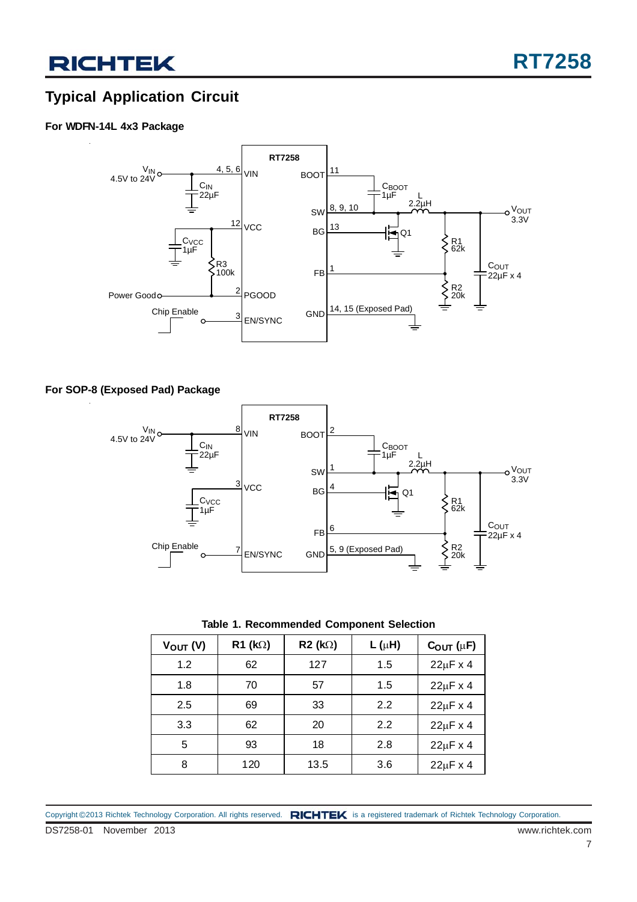## **Typical Application Circuit**

### **For WDFN-14L 4x3 Package**



#### **For SOP-8 (Exposed Pad) Package**



**Table 1. Recommended Component Selection**

| $V_{\text{OUT}}(V)$ | $R1$ (kΩ) | $R2$ (k $\Omega$ ) | $L(\mu H)$ | $C_{OUT}$ ( $\mu$ F) |
|---------------------|-----------|--------------------|------------|----------------------|
| 1.2                 | 62        | 127                | 1.5        | $22\mu$ F x 4        |
| 1.8                 | 70        | 57                 | 1.5        | $22\mu$ F x 4        |
| 2.5                 | 69        | 33                 | 2.2        | $22\mu$ F x 4        |
| 3.3                 | 62        | 20                 | 2.2        | $22\mu$ F x 4        |
| 5                   | 93        | 18                 | 2.8        | $22\mu$ F x 4        |
| 8                   | 120       | 13.5               | 3.6        | $22\mu$ F x 4        |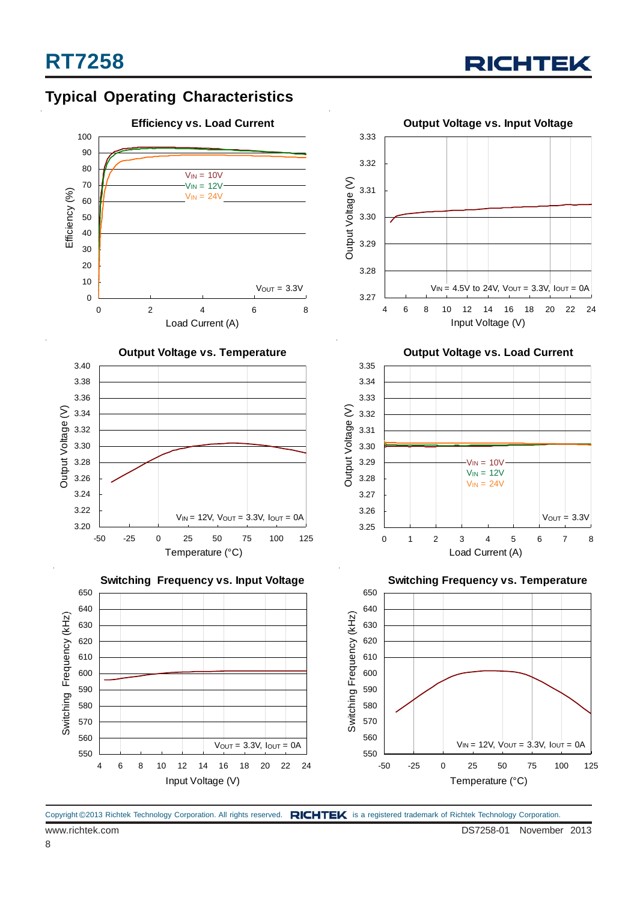







**Output Voltage vs. Input Voltage**

**Output Voltage vs. Load Current**



**Switching Frequency vs. Temperature** Switching Frequency (kHz) 1 Switching Frequency (kHz) 1 Switching Frequency (kHz) Switching Frequency (kHz) 620 620 610 610 600 600 590 590 580 580 570 570 560 560  $V$ OUT =  $3.3V$ ,  $I$ OUT =  $0A$  $V_{IN}$  = 12V,  $V_{OUT}$  = 3.3V,  $I_{OUT}$  = 0A 550 550 4 6 8 10 12 14 16 18 20 22 24 -50 -25 0 25 50 75 100 125 Input Voltage (V) Temperature (°C)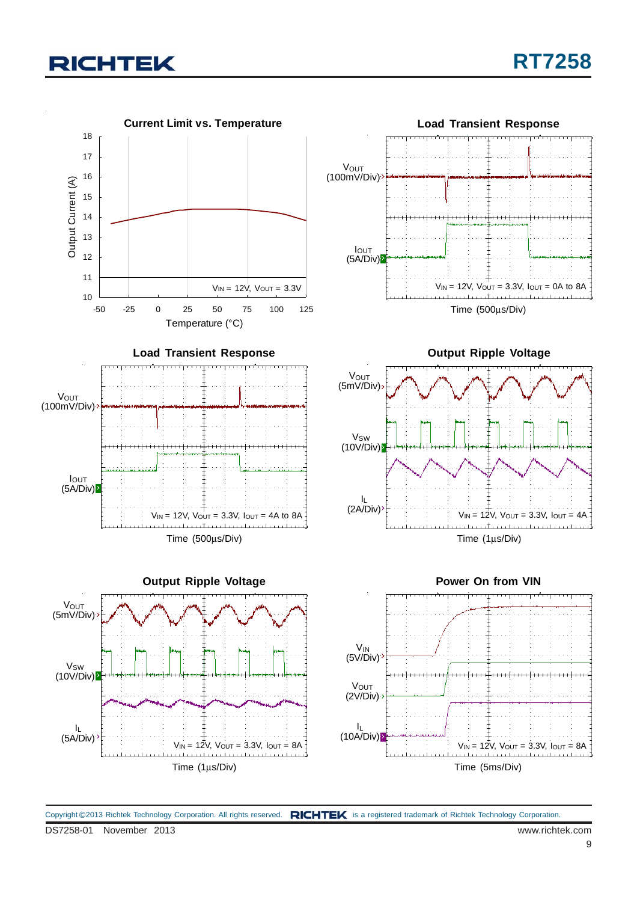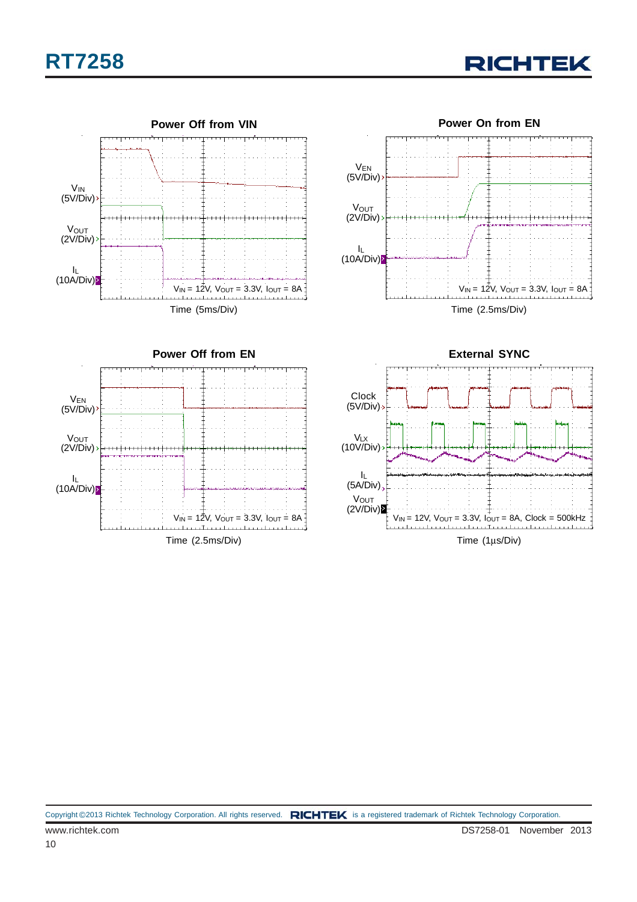## **RT7258**

**RICHTEK** 







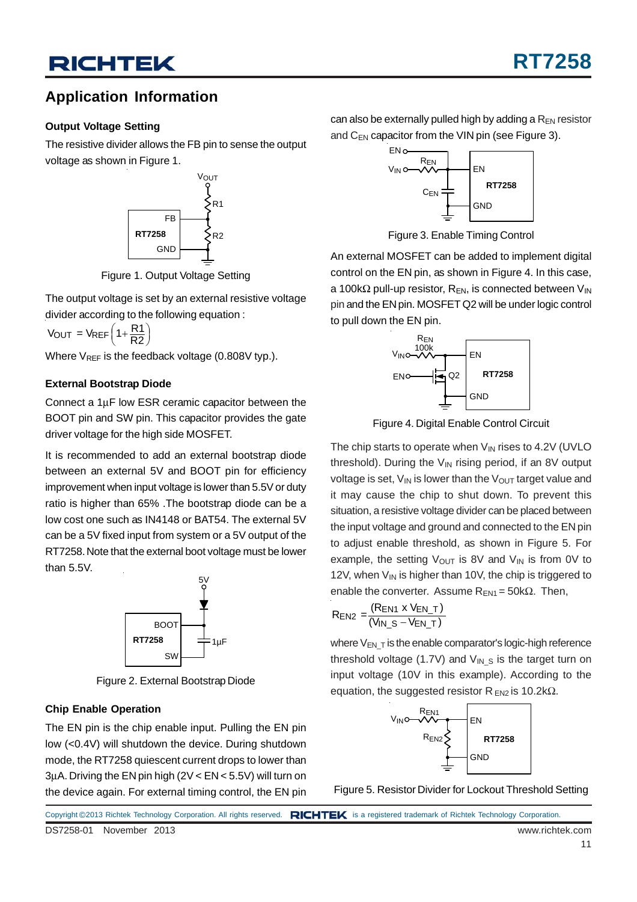### **Application Information**

### **Output Voltage Setting**

The resistive divider allows the FB pin to sense the output voltage as shown in Figure 1.



Figure 1. Output Voltage Setting

The output voltage is set by an external resistive voltage divider according to the following equation :

 $V_{\text{OUT}} = V_{\text{REF}} \left( 1 + \frac{R1}{R2} \right)$ 

Where  $V_{REF}$  is the feedback voltage (0.808V typ.).

### **External Bootstrap Diode**

Connect a 1μF low ESR ceramic capacitor between the BOOT pin and SW pin. This capacitor provides the gate driver voltage for the high side MOSFET.

It is recommended to add an external bootstrap diode between an external 5V and BOOT pin for efficiency improvement when input voltage is lower than 5.5V or duty ratio is higher than 65% .The bootstrap diode can be a low cost one such as IN4148 or BAT54. The external 5V can be a 5V fixed input from system or a 5V output of the RT7258. Note that the external boot voltage must be lower than 5.5V.



Figure 2. External Bootstrap Diode

### **Chip Enable Operation**

The EN pin is the chip enable input. Pulling the EN pin low (<0.4V) will shutdown the device. During shutdown mode, the RT7258 quiescent current drops to lower than 3μA. Driving the EN pin high (2V < EN < 5.5V) will turn on the device again. For external timing control, the EN pin can also be externally pulled high by adding a  $R_{EN}$  resistor and  $C_{EN}$  capacitor from the VIN pin (see Figure 3).



Figure 3. Enable Timing Control

An external MOSFET can be added to implement digital control on the EN pin, as shown in Figure 4. In this case, a 100k $\Omega$  pull-up resistor, R<sub>EN</sub>, is connected between V<sub>IN</sub> pin and the EN pin. MOSFET Q2 will be under logic control to pull down the EN pin.



Figure 4. Digital Enable Control Circuit

The chip starts to operate when  $V_{\text{IN}}$  rises to 4.2V (UVLO threshold). During the  $V_{\text{IN}}$  rising period, if an 8V output voltage is set,  $V_{IN}$  is lower than the  $V_{OUT}$  target value and it may cause the chip to shut down. To prevent this situation, a resistive voltage divider can be placed between the input voltage and ground and connected to the EN pin to adjust enable threshold, as shown in Figure 5. For example, the setting  $V_{\text{OUT}}$  is 8V and  $V_{\text{IN}}$  is from 0V to 12V, when  $V_{\text{IN}}$  is higher than 10V, the chip is triggered to enable the converter. Assume  $R_{EN1}$  = 50k $\Omega$ . Then,

$$
R_{EN2} = \frac{(R_{EN1} \times V_{EN\_T})}{(V_{IN\_S} - V_{EN\_T})}
$$

where  $V_{EN}$   $_T$  is the enable comparator's logic-high reference threshold voltage (1.7V) and  $V_{IN-S}$  is the target turn on input voltage (10V in this example). According to the equation, the suggested resistor R  $_{EN2}$  is 10.2k $\Omega$ .



Figure 5. Resistor Divider for Lockout Threshold Setting

DS7258-01 November 2013 www.richtek.com Copyright ©2013 Richtek Technology Corporation. All rights reserved. RICHTEK is a registered trademark of Richtek Technology Corporation.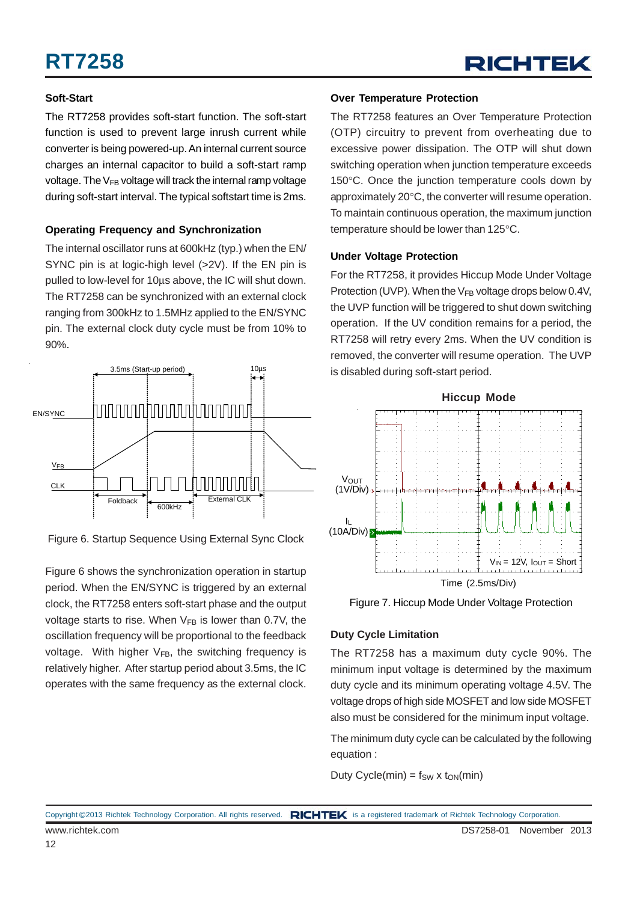### **Soft-Start**

The RT7258 provides soft-start function. The soft-start function is used to prevent large inrush current while converter is being powered-up. An internal current source charges an internal capacitor to build a soft-start ramp voltage. The  $V_{FB}$  voltage will track the internal ramp voltage during soft-start interval. The typical softstart time is 2ms.

### **Operating Frequency and Synchronization**

The internal oscillator runs at 600kHz (typ.) when the EN/ SYNC pin is at logic-high level (>2V). If the EN pin is pulled to low-level for 10μs above, the IC will shut down. The RT7258 can be synchronized with an external clock ranging from 300kHz to 1.5MHz applied to the EN/SYNC pin. The external clock duty cycle must be from 10% to 90%.



Figure 6. Startup Sequence Using External Sync Clock

Figure 6 shows the synchronization operation in startup period. When the EN/SYNC is triggered by an external clock, the RT7258 enters soft-start phase and the output voltage starts to rise. When  $V_{FB}$  is lower than 0.7V, the oscillation frequency will be proportional to the feedback voltage. With higher  $V_{FB}$ , the switching frequency is relatively higher. After startup period about 3.5ms, the IC operates with the same frequency as the external clock.

#### **Over Temperature Protection**

The RT7258 features an Over Temperature Protection (OTP) circuitry to prevent from overheating due to excessive power dissipation. The OTP will shut down switching operation when junction temperature exceeds 150°C. Once the junction temperature cools down by approximately 20°C, the converter will resume operation. To maintain continuous operation, the maximum junction temperature should be lower than 125°C.

### **Under Voltage Protection**

For the RT7258, it provides Hiccup Mode Under Voltage Protection (UVP). When the  $V_{FB}$  voltage drops below 0.4V, the UVP function will be triggered to shut down switching operation. If the UV condition remains for a period, the RT7258 will retry every 2ms. When the UV condition is removed, the converter will resume operation. The UVP is disabled during soft-start period.





### **Duty Cycle Limitation**

The RT7258 has a maximum duty cycle 90%. The minimum input voltage is determined by the maximum duty cycle and its minimum operating voltage 4.5V. The voltage drops of high side MOSFET and low side MOSFET also must be considered for the minimum input voltage.

The minimum duty cycle can be calculated by the following equation :

Duty Cycle(min) =  $f_{SW}$  x  $t_{ON}(min)$ 

www.richtek.com DS7258-01 November 2013 Copyright ©2013 Richtek Technology Corporation. All rights reserved. RICHTEK is a registered trademark of Richtek Technology Corporation.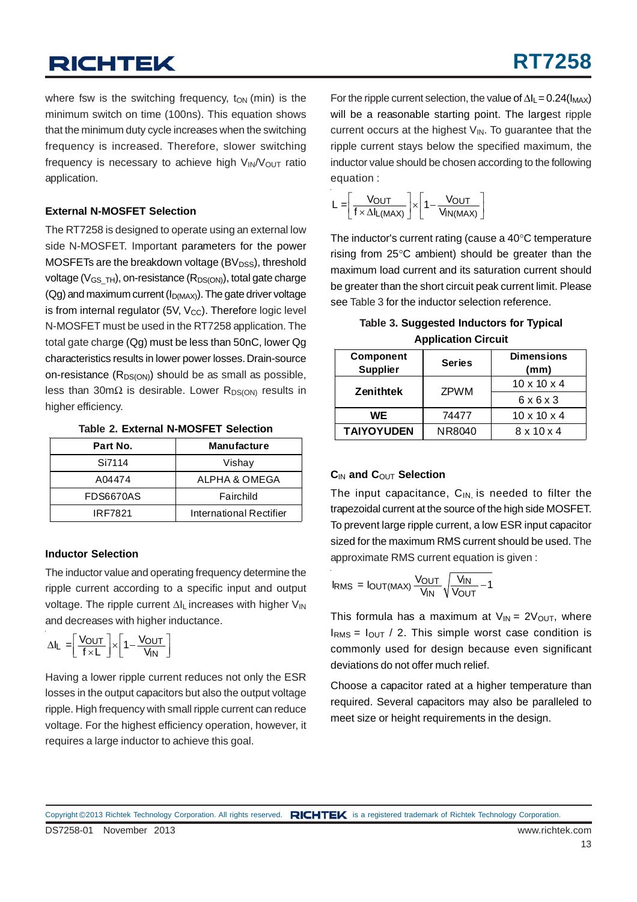where fsw is the switching frequency,  $t_{ON}$  (min) is the minimum switch on time (100ns). This equation shows that the minimum duty cycle increases when the switching frequency is increased. Therefore, slower switching frequency is necessary to achieve high  $V_{\text{IN}}/V_{\text{OUT}}$  ratio application.

#### **External N-MOSFET Selection**

The RT7258 is designed to operate using an external low side N-MOSFET. Important parameters for the power MOSFETs are the breakdown voltage (BV $_{\text{DSS}}$ ), threshold voltage ( $V_{GS}$ <sub>TH</sub>), on-resistance ( $R_{DS(ON)}$ ), total gate charge  $(Qq)$  and maximum current  $(I<sub>D(MAX)</sub>)$ . The gate driver voltage is from internal regulator (5V,  $V_{\text{CC}}$ ). Therefore logic level N-MOSFET must be used in the RT7258 application. The total gate charge (Qg) must be less than 50nC, lower Qg characteristics results in lower power losses. Drain-source on-resistance  $(R_{DS(ON)})$  should be as small as possible, less than 30mΩ is desirable. Lower R<sub>DS(ON)</sub> results in higher efficiency.

|  |  | <b>Table 2. External N-MOSFET Selection</b> |  |
|--|--|---------------------------------------------|--|
|--|--|---------------------------------------------|--|

| Part No.  | <b>Manufacture</b>      |
|-----------|-------------------------|
| Si7114    | Vishay                  |
| A04474    | ALPHA & OMEGA           |
| FDS6670AS | Fairchild               |
| IRF7821   | International Rectifier |

### **Inductor Selection**

The inductor value and operating frequency determine the ripple current according to a specific input and output voltage. The ripple current Δli increases with higher V<sub>IN</sub> and decreases with higher inductance.

$$
\Delta I_L = \left[ \frac{V_{OUT}}{f \times L} \right] \times \left[ 1 - \frac{V_{OUT}}{V_{IN}} \right]
$$

Having a lower ripple current reduces not only the ESR losses in the output capacitors but also the output voltage ripple. High frequency with small ripple current can reduce voltage. For the highest efficiency operation, however, it requires a large inductor to achieve this goal.

For the ripple current selection, the value of  $\Delta I_L$  = 0.24( $I_{MAX}$ ) will be a reasonable starting point. The largest ripple current occurs at the highest  $V_{\text{IN}}$ . To guarantee that the ripple current stays below the specified maximum, the inductor value should be chosen according to the following equation :

$$
L = \left[ \frac{V_{OUT}}{f \times \Delta I_{L(MAX)}} \right] \times \left[ 1 - \frac{V_{OUT}}{V_{IN(MAX)}} \right]
$$

The inductor's current rating (cause a 40°C temperature rising from 25°C ambient) should be greater than the maximum load current and its saturation current should be greater than the short circuit peak current limit. Please see Table 3 for the inductor selection reference.

| Table 3. Suggested Inductors for Typical |  |
|------------------------------------------|--|
| <b>Application Circuit</b>               |  |

| <b>Component</b><br><b>Supplier</b> | <b>Series</b> | <b>Dimensions</b><br>(mm) |  |
|-------------------------------------|---------------|---------------------------|--|
|                                     | <b>ZPWM</b>   | $10 \times 10 \times 4$   |  |
| <b>Zenithtek</b>                    |               | 6x6x3                     |  |
| WE                                  | 74477         | $10 \times 10 \times 4$   |  |
| <b>TAIYOYUDEN</b>                   | NR8040        | $8 \times 10 \times 4$    |  |

### **C**IN **and C**OUT **Selection**

The input capacitance,  $C_{IN}$  is needed to filter the trapezoidal current at the source of the high side MOSFET. To prevent large ripple current, a low ESR input capacitor sized for the maximum RMS current should be used. The approximate RMS current equation is given :

$$
I_{RMS} = I_{OUT(MAX)} \frac{V_{OUT}}{V_{IN}} \sqrt{\frac{V_{IN}}{V_{OUT}} - 1}
$$

This formula has a maximum at  $V_{IN} = 2V_{OUT}$ , where  $I<sub>RMS</sub> = I<sub>OUT</sub> / 2$ . This simple worst case condition is commonly used for design because even significant deviations do not offer much relief.

Choose a capacitor rated at a higher temperature than required. Several capacitors may also be paralleled to meet size or height requirements in the design.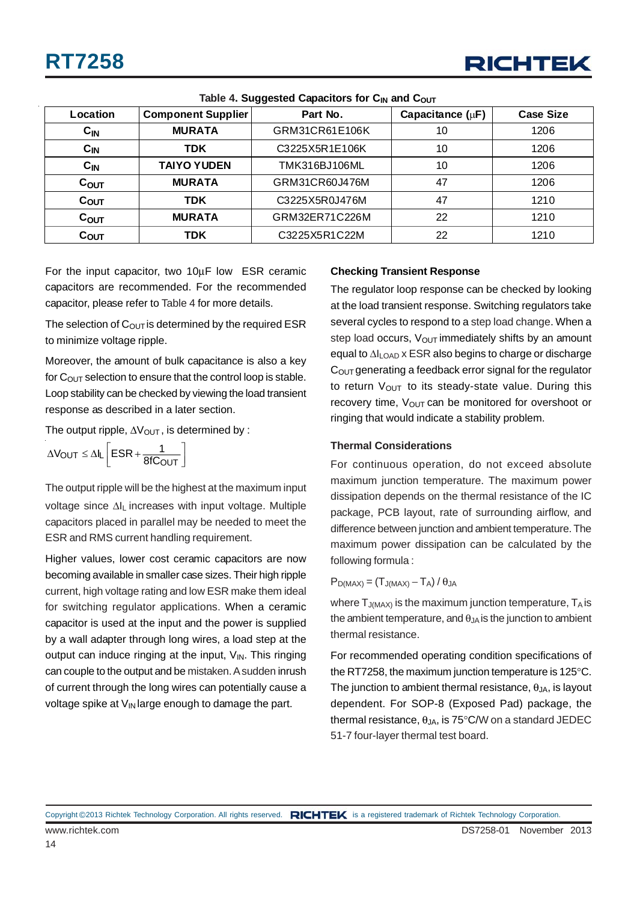

| Location         | <b>Component Supplier</b> | Part No.       | Capacitance $(\mu F)$ | <b>Case Size</b> |
|------------------|---------------------------|----------------|-----------------------|------------------|
| $C_{IN}$         | <b>MURATA</b>             | GRM31CR61E106K | 10                    | 1206             |
| $C_{IN}$         | <b>TDK</b>                | C3225X5R1E106K | 10                    | 1206             |
| $C_{IN}$         | <b>TAIYO YUDEN</b>        | TMK316BJ106ML  | 10                    | 1206             |
| $C_{OUT}$        | <b>MURATA</b>             | GRM31CR60J476M | 47                    | 1206             |
| C <sub>OUT</sub> | <b>TDK</b>                | C3225X5R0J476M | 47                    | 1210             |
| C <sub>OUT</sub> | <b>MURATA</b>             | GRM32ER71C226M | 22                    | 1210             |
| COUT             | TDK                       | C3225X5R1C22M  | 22                    | 1210             |

#### **Table 4. Suggested Capacitors for C<sub>IN</sub> and C<sub>OUT</sub>**

For the input capacitor, two 10μF low ESR ceramic capacitors are recommended. For the recommended capacitor, please refer to Table 4 for more details.

The selection of  $C_{\text{OUT}}$  is determined by the required ESR to minimize voltage ripple.

Moreover, the amount of bulk capacitance is also a key for  $C_{\text{OUT}}$  selection to ensure that the control loop is stable. Loop stability can be checked by viewing the load transient response as described in a later section.

The output ripple,  $\Delta V_{\text{OUT}}$ , is determined by :

 $\Delta V_{\text{OUT}} \leq \Delta I_L \left[ ESR + \frac{1}{8fC_{\text{OUT}}} \right]$ 

The output ripple will be the highest at the maximum input voltage since ΔIL increases with input voltage. Multiple capacitors placed in parallel may be needed to meet the ESR and RMS current handling requirement.

Higher values, lower cost ceramic capacitors are now becoming available in smaller case sizes. Their high ripple current, high voltage rating and low ESR make them ideal for switching regulator applications. When a ceramic capacitor is used at the input and the power is supplied by a wall adapter through long wires, a load step at the output can induce ringing at the input,  $V_{IN}$ . This ringing can couple to the output and be mistaken. A sudden inrush of current through the long wires can potentially cause a voltage spike at  $V_{IN}$  large enough to damage the part.

#### **Checking Transient Response**

The regulator loop response can be checked by looking at the load transient response. Switching regulators take several cycles to respond to a step load change. When a step load occurs,  $V_{\text{OUT}}$  immediately shifts by an amount equal to ΔILOAD x ESR also begins to charge or discharge  $C<sub>OUT</sub>$  generating a feedback error signal for the regulator to return  $V_{\text{OUT}}$  to its steady-state value. During this recovery time,  $V_{\text{OUT}}$  can be monitored for overshoot or ringing that would indicate a stability problem.

#### **Thermal Considerations**

For continuous operation, do not exceed absolute maximum junction temperature. The maximum power dissipation depends on the thermal resistance of the IC package, PCB layout, rate of surrounding airflow, and difference between junction and ambient temperature. The maximum power dissipation can be calculated by the following formula :

### $P_{D(MAX)} = (T_{J(MAX)} - T_A) / \theta_{JA}$

where  $T_{J(MAX)}$  is the maximum junction temperature,  $T_A$  is the ambient temperature, and  $\theta_{JA}$  is the junction to ambient thermal resistance.

For recommended operating condition specifications of the RT7258, the maximum junction temperature is 125°C. The junction to ambient thermal resistance,  $\theta_{\text{JA}}$ , is layout dependent. For SOP-8 (Exposed Pad) package, the thermal resistance,  $\theta_{JA}$ , is 75°C/W on a standard JEDEC 51-7 four-layer thermal test board.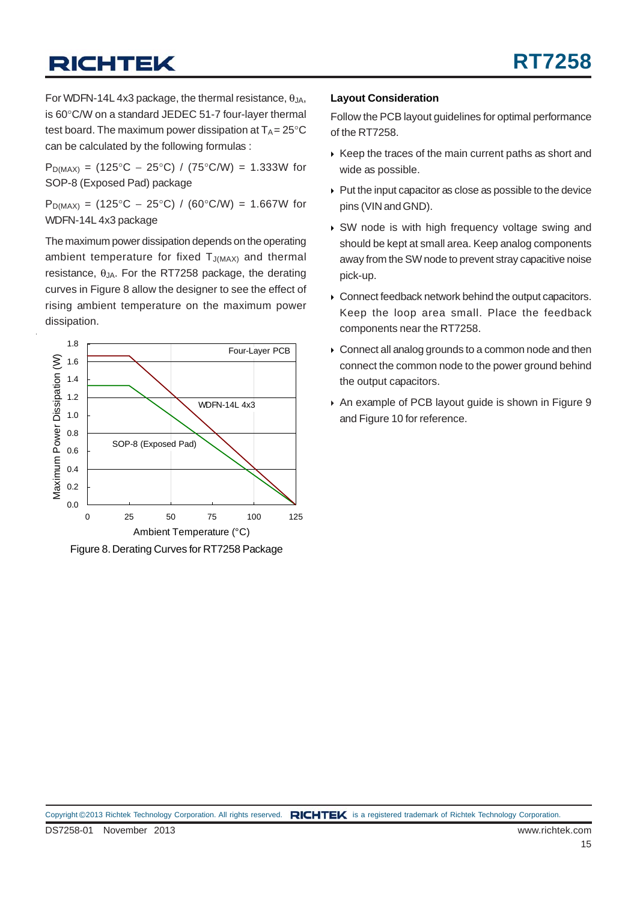For WDFN-14L 4x3 package, the thermal resistance,  $\theta_{JA}$ , is 60°C/W on a standard JEDEC 51-7 four-layer thermal test board. The maximum power dissipation at  $T_A = 25^{\circ}C$ can be calculated by the following formulas :

P<sub>D(MAX)</sub> = (125°C − 25°C) / (75°C/W) = 1.333W for SOP-8 (Exposed Pad) package

P<sub>D(MAX)</sub> = (125°C − 25°C) / (60°C/W) = 1.667W for WDFN-14L 4x3 package

The maximum power dissipation depends on the operating ambient temperature for fixed  $T_{J(MAX)}$  and thermal resistance,  $θ<sub>JA</sub>$ . For the RT7258 package, the derating curves in Figure 8 allow the designer to see the effect of rising ambient temperature on the maximum power dissipation.



Figure 8. Derating Curves for RT7258 Package

#### **Layout Consideration**

Follow the PCB layout guidelines for optimal performance of the RT7258.

- $\rightarrow$  Keep the traces of the main current paths as short and wide as possible.
- $\rightarrow$  Put the input capacitor as close as possible to the device pins (VIN and GND).
- SW node is with high frequency voltage swing and should be kept at small area. Keep analog components away from the SW node to prevent stray capacitive noise pick-up.
- ▶ Connect feedback network behind the output capacitors. Keep the loop area small. Place the feedback components near the RT7258.
- Connect all analog grounds to a common node and then connect the common node to the power ground behind the output capacitors.
- An example of PCB layout guide is shown in Figure 9 and Figure 10 for reference.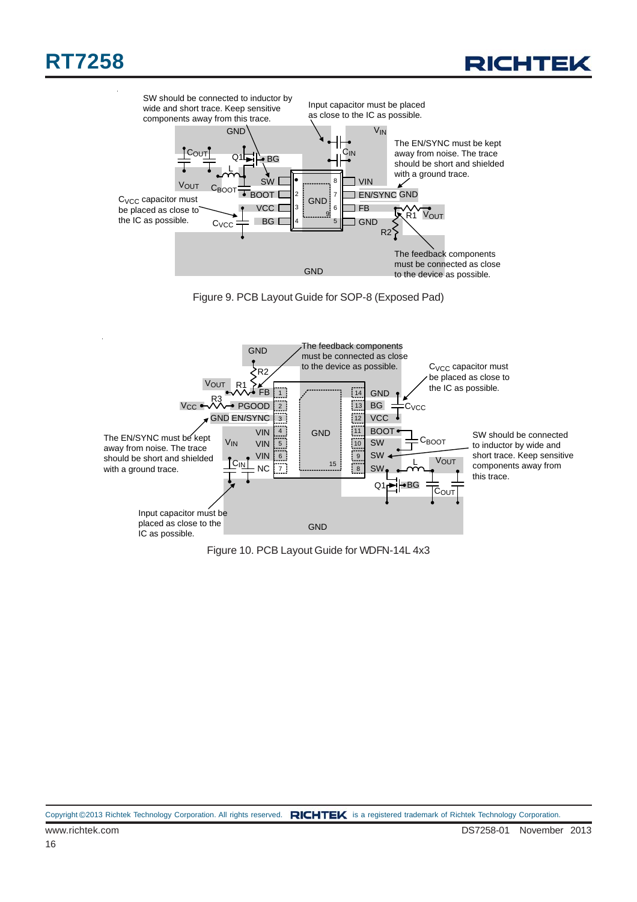## **RT7258**









Figure 10. PCB Layout Guide for WDFN-14L 4x3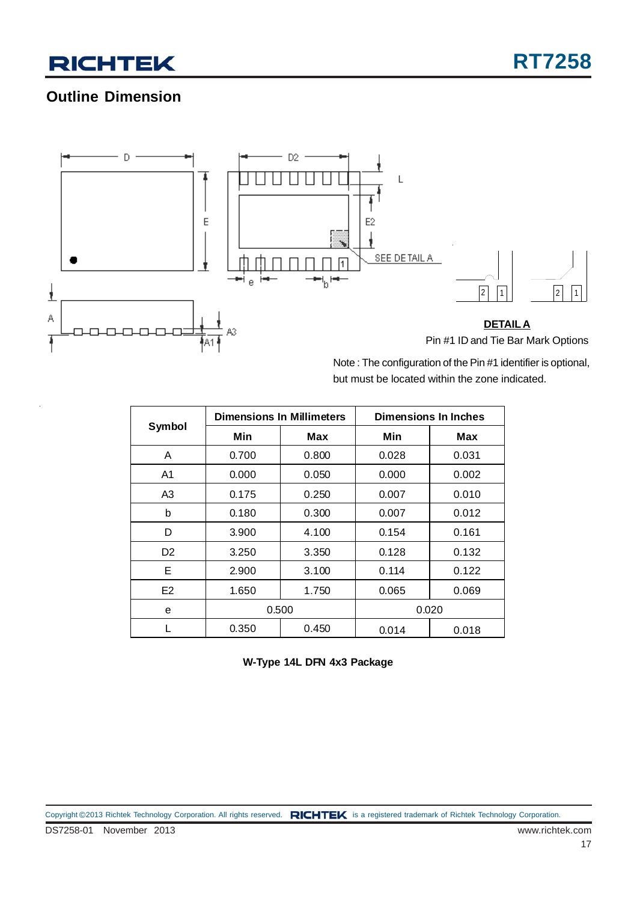### **Outline Dimension**



Note : The configuration of the Pin #1 identifier is optional, but must be located within the zone indicated.

| Symbol         | <b>Dimensions In Millimeters</b> |       | Dimensions In Inches |       |
|----------------|----------------------------------|-------|----------------------|-------|
|                | Min                              | Max   | Min                  | Max   |
| A              | 0.700                            | 0.800 | 0.028                | 0.031 |
| A1             | 0.000                            | 0.050 | 0.000                | 0.002 |
| A3             | 0.175                            | 0.250 | 0.007                | 0.010 |
| b              | 0.180                            | 0.300 | 0.007                | 0.012 |
| D              | 3.900                            | 4.100 | 0.154                | 0.161 |
| D <sub>2</sub> | 3.250                            | 3.350 | 0.128                | 0.132 |
| Е              | 2.900                            | 3.100 | 0.114                | 0.122 |
| E <sub>2</sub> | 1.650                            | 1.750 | 0.065                | 0.069 |
| e              | 0.500                            |       | 0.020                |       |
|                | 0.350                            | 0.450 | 0.014                | 0.018 |

**W-Type 14L DFN 4x3 Package**